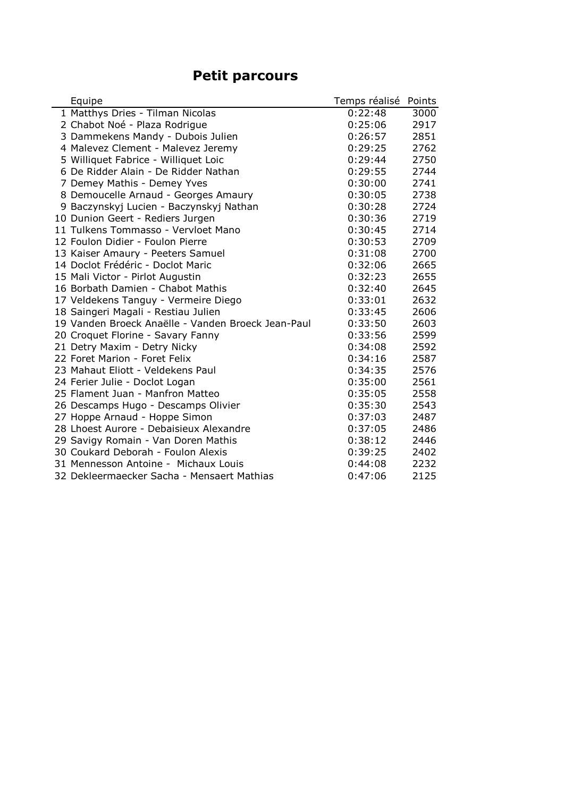## **Petit parcours**

| Equipe                                             | Temps réalisé | Points |
|----------------------------------------------------|---------------|--------|
| 1 Matthys Dries - Tilman Nicolas                   | 0:22:48       | 3000   |
| 2 Chabot Noé - Plaza Rodrigue                      | 0:25:06       | 2917   |
| 3 Dammekens Mandy - Dubois Julien                  | 0:26:57       | 2851   |
| 4 Malevez Clement - Malevez Jeremy                 | 0:29:25       | 2762   |
| 5 Williquet Fabrice - Williquet Loic               | 0:29:44       | 2750   |
| 6 De Ridder Alain - De Ridder Nathan               | 0:29:55       | 2744   |
| 7 Demey Mathis - Demey Yves                        | 0:30:00       | 2741   |
| 8 Demoucelle Arnaud - Georges Amaury               | 0:30:05       | 2738   |
| 9 Baczynskyj Lucien - Baczynskyj Nathan            | 0:30:28       | 2724   |
| 10 Dunion Geert - Rediers Jurgen                   | 0:30:36       | 2719   |
| 11 Tulkens Tommasso - Vervloet Mano                | 0:30:45       | 2714   |
| 12 Foulon Didier - Foulon Pierre                   | 0:30:53       | 2709   |
| 13 Kaiser Amaury - Peeters Samuel                  | 0:31:08       | 2700   |
| 14 Doclot Frédéric - Doclot Maric                  | 0:32:06       | 2665   |
| 15 Mali Victor - Pirlot Augustin                   | 0:32:23       | 2655   |
| 16 Borbath Damien - Chabot Mathis                  | 0:32:40       | 2645   |
| 17 Veldekens Tanguy - Vermeire Diego               | 0:33:01       | 2632   |
| 18 Saingeri Magali - Restiau Julien                | 0:33:45       | 2606   |
| 19 Vanden Broeck Anaëlle - Vanden Broeck Jean-Paul | 0:33:50       | 2603   |
| 20 Croquet Florine - Savary Fanny                  | 0:33:56       | 2599   |
| 21 Detry Maxim - Detry Nicky                       | 0:34:08       | 2592   |
| 22 Foret Marion - Foret Felix                      | 0:34:16       | 2587   |
| 23 Mahaut Eliott - Veldekens Paul                  | 0:34:35       | 2576   |
| 24 Ferier Julie - Doclot Logan                     | 0:35:00       | 2561   |
| 25 Flament Juan - Manfron Matteo                   | 0:35:05       | 2558   |
| 26 Descamps Hugo - Descamps Olivier                | 0:35:30       | 2543   |
| 27 Hoppe Arnaud - Hoppe Simon                      | 0:37:03       | 2487   |
| 28 Lhoest Aurore - Debaisieux Alexandre            | 0:37:05       | 2486   |
| 29 Savigy Romain - Van Doren Mathis                | 0:38:12       | 2446   |
| 30 Coukard Deborah - Foulon Alexis                 | 0:39:25       | 2402   |
| 31 Mennesson Antoine - Michaux Louis               | 0:44:08       | 2232   |
| 32 Dekleermaecker Sacha - Mensaert Mathias         | 0:47:06       | 2125   |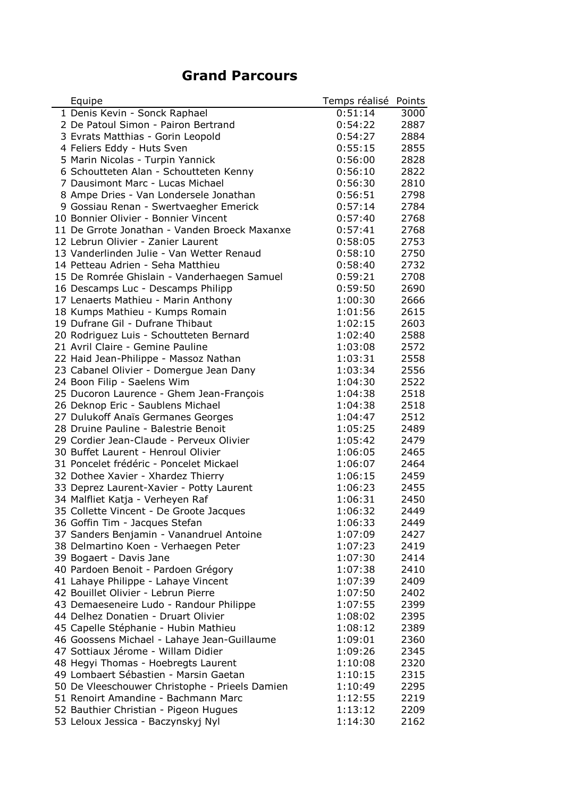## **Grand Parcours**

| Equipe                                                                         | Temps réalisé | Points |
|--------------------------------------------------------------------------------|---------------|--------|
| 1 Denis Kevin - Sonck Raphael                                                  | 0:51:14       | 3000   |
| 2 De Patoul Simon - Pairon Bertrand                                            | 0:54:22       | 2887   |
| 3 Evrats Matthias - Gorin Leopold                                              | 0:54:27       | 2884   |
| 4 Feliers Eddy - Huts Sven                                                     | 0:55:15       | 2855   |
| 5 Marin Nicolas - Turpin Yannick                                               | 0:56:00       | 2828   |
| 6 Schoutteten Alan - Schoutteten Kenny                                         | 0:56:10       | 2822   |
| 7 Dausimont Marc - Lucas Michael                                               | 0:56:30       | 2810   |
| 8 Ampe Dries - Van Londersele Jonathan                                         | 0:56:51       | 2798   |
| 9 Gossiau Renan - Swertvaegher Emerick                                         | 0:57:14       | 2784   |
| 10 Bonnier Olivier - Bonnier Vincent                                           | 0:57:40       | 2768   |
| 11 De Grrote Jonathan - Vanden Broeck Maxanxe                                  | 0:57:41       | 2768   |
| 12 Lebrun Olivier - Zanier Laurent                                             | 0:58:05       | 2753   |
| 13 Vanderlinden Julie - Van Wetter Renaud                                      | 0:58:10       | 2750   |
| 14 Petteau Adrien - Seha Matthieu                                              | 0:58:40       | 2732   |
| 15 De Romrée Ghislain - Vanderhaegen Samuel                                    | 0:59:21       | 2708   |
| 16 Descamps Luc - Descamps Philipp                                             | 0:59:50       | 2690   |
| 17 Lenaerts Mathieu - Marin Anthony                                            | 1:00:30       | 2666   |
| 18 Kumps Mathieu - Kumps Romain                                                | 1:01:56       | 2615   |
| 19 Dufrane Gil - Dufrane Thibaut                                               | 1:02:15       | 2603   |
| 20 Rodriguez Luis - Schoutteten Bernard                                        | 1:02:40       | 2588   |
| 21 Avril Claire - Gemine Pauline                                               | 1:03:08       | 2572   |
| 22 Haid Jean-Philippe - Massoz Nathan                                          | 1:03:31       | 2558   |
| 23 Cabanel Olivier - Domergue Jean Dany                                        | 1:03:34       | 2556   |
| 24 Boon Filip - Saelens Wim                                                    | 1:04:30       | 2522   |
| 25 Ducoron Laurence - Ghem Jean-François                                       | 1:04:38       | 2518   |
| 26 Deknop Eric - Saublens Michael                                              | 1:04:38       | 2518   |
| 27 Dulukoff Anaïs Germanes Georges                                             | 1:04:47       | 2512   |
| 28 Druine Pauline - Balestrie Benoit                                           | 1:05:25       | 2489   |
| 29 Cordier Jean-Claude - Perveux Olivier                                       | 1:05:42       | 2479   |
| 30 Buffet Laurent - Henroul Olivier                                            | 1:06:05       | 2465   |
| 31 Poncelet frédéric - Poncelet Mickael                                        | 1:06:07       | 2464   |
| 32 Dothee Xavier - Xhardez Thierry                                             | 1:06:15       | 2459   |
| 33 Deprez Laurent-Xavier - Potty Laurent                                       | 1:06:23       | 2455   |
| 34 Malfliet Katja - Verheyen Raf                                               | 1:06:31       | 2450   |
| 35 Collette Vincent - De Groote Jacques                                        | 1:06:32       | 2449   |
| 36 Goffin Tim - Jacques Stefan                                                 | 1:06:33       | 2449   |
| 37 Sanders Benjamin - Vanandruel Antoine                                       | 1:07:09       | 2427   |
| 38 Delmartino Koen - Verhaegen Peter                                           | 1:07:23       | 2419   |
| 39 Bogaert - Davis Jane                                                        | 1:07:30       | 2414   |
| 40 Pardoen Benoit - Pardoen Grégory                                            | 1:07:38       | 2410   |
| 41 Lahaye Philippe - Lahaye Vincent                                            | 1:07:39       | 2409   |
| 42 Bouillet Olivier - Lebrun Pierre                                            | 1:07:50       | 2402   |
|                                                                                | 1:07:55       | 2399   |
| 43 Demaeseneire Ludo - Randour Philippe<br>44 Delhez Donatien - Druart Olivier | 1:08:02       | 2395   |
| 45 Capelle Stéphanie - Hubin Mathieu                                           | 1:08:12       |        |
|                                                                                |               | 2389   |
| 46 Goossens Michael - Lahaye Jean-Guillaume                                    | 1:09:01       | 2360   |
| 47 Sottiaux Jérome - Willam Didier                                             | 1:09:26       | 2345   |
| 48 Hegyi Thomas - Hoebregts Laurent                                            | 1:10:08       | 2320   |
| 49 Lombaert Sébastien - Marsin Gaetan                                          | 1:10:15       | 2315   |
| 50 De Vleeschouwer Christophe - Prieels Damien                                 | 1:10:49       | 2295   |
| 51 Renoirt Amandine - Bachmann Marc                                            | 1:12:55       | 2219   |
| 52 Bauthier Christian - Pigeon Hugues                                          | 1:13:12       | 2209   |
| 53 Leloux Jessica - Baczynskyj Nyl                                             | 1:14:30       | 2162   |